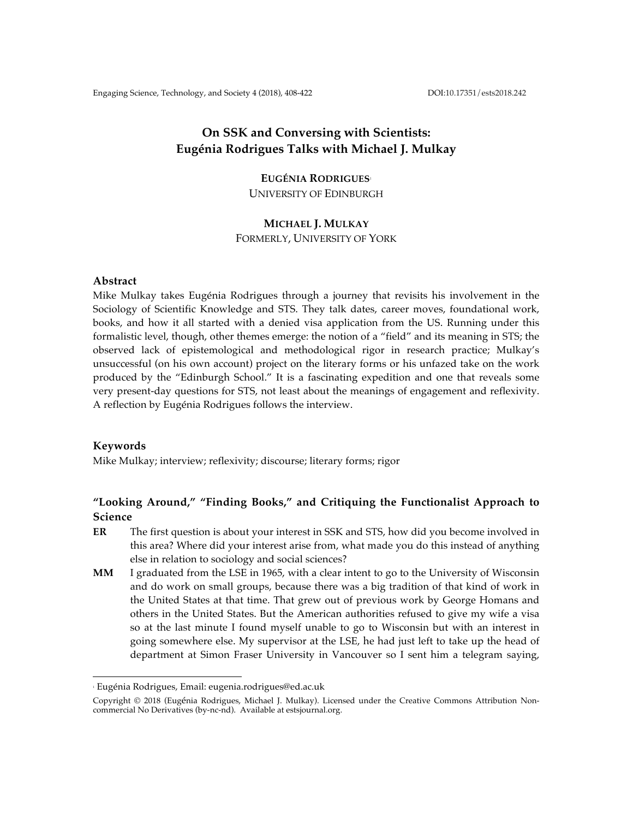# **On SSK and Conversing with Scientists: Eugénia Rodrigues Talks with Michael J. Mulkay**

## **EUGÉNIA RODRIGUES**<sup>1</sup>

UNIVERSITY OF EDINBURGH

### **MICHAEL J. MULKAY**

FORMERLY, UNIVERSITY OF YORK

## **Abstract**

Mike Mulkay takes Eugénia Rodrigues through a journey that revisits his involvement in the Sociology of Scientific Knowledge and STS. They talk dates, career moves, foundational work, books, and how it all started with a denied visa application from the US. Running under this formalistic level, though, other themes emerge: the notion of a "field" and its meaning in STS; the observed lack of epistemological and methodological rigor in research practice; Mulkay's unsuccessful (on his own account) project on the literary forms or his unfazed take on the work produced by the "Edinburgh School." It is a fascinating expedition and one that reveals some very present-day questions for STS, not least about the meanings of engagement and reflexivity. A reflection by Eugénia Rodrigues follows the interview.

## **Keywords**

Mike Mulkay; interview; reflexivity; discourse; literary forms; rigor

## **"Looking Around," "Finding Books," and Critiquing the Functionalist Approach to Science**

- **ER** The first question is about your interest in SSK and STS, how did you become involved in this area? Where did your interest arise from, what made you do this instead of anything else in relation to sociology and social sciences?
- **MM** I graduated from the LSE in 1965, with a clear intent to go to the University of Wisconsin and do work on small groups, because there was a big tradition of that kind of work in the United States at that time. That grew out of previous work by George Homans and others in the United States. But the American authorities refused to give my wife a visa so at the last minute I found myself unable to go to Wisconsin but with an interest in going somewhere else. My supervisor at the LSE, he had just left to take up the head of department at Simon Fraser University in Vancouver so I sent him a telegram saying,

 

<sup>1</sup> Eugénia Rodrigues, Email: eugenia.rodrigues@ed.ac.uk

Copyright © 2018 (Eugénia Rodrigues, Michael J. Mulkay). Licensed under the Creative Commons Attribution Noncommercial No Derivatives (by-nc-nd). Available at estsjournal.org.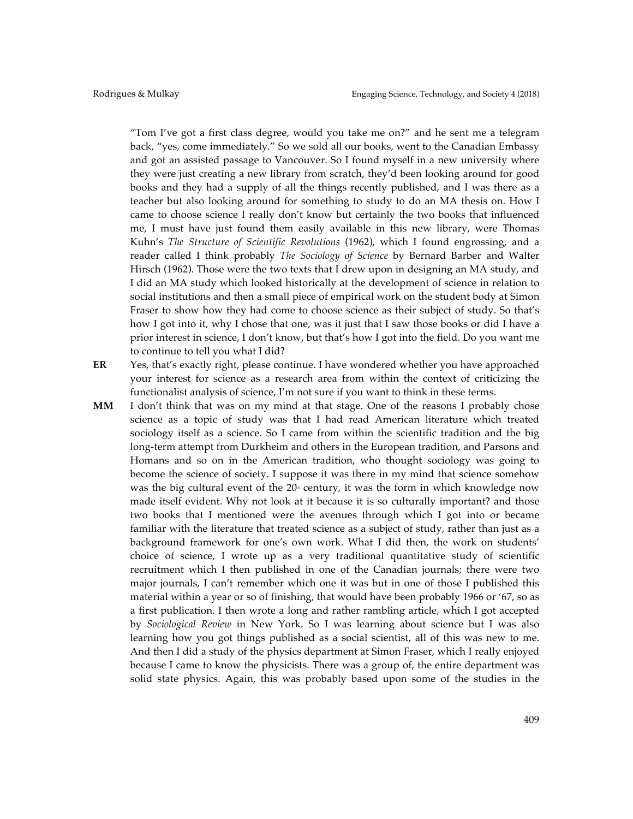"Tom I've got a first class degree, would you take me on?" and he sent me a telegram back, "yes, come immediately." So we sold all our books, went to the Canadian Embassy and got an assisted passage to Vancouver. So I found myself in a new university where they were just creating a new library from scratch, they'd been looking around for good books and they had a supply of all the things recently published, and I was there as a teacher but also looking around for something to study to do an MA thesis on. How I came to choose science I really don't know but certainly the two books that influenced me, I must have just found them easily available in this new library, were Thomas Kuhn's *The Structure of Scientific Revolutions* (1962), which I found engrossing, and a reader called I think probably *The Sociology of Science* by Bernard Barber and Walter Hirsch (1962). Those were the two texts that I drew upon in designing an MA study, and I did an MA study which looked historically at the development of science in relation to social institutions and then a small piece of empirical work on the student body at Simon Fraser to show how they had come to choose science as their subject of study. So that's how I got into it, why I chose that one, was it just that I saw those books or did I have a prior interest in science, I don't know, but that's how I got into the field. Do you want me to continue to tell you what I did?

**ER** Yes, that's exactly right, please continue. I have wondered whether you have approached your interest for science as a research area from within the context of criticizing the functionalist analysis of science, I'm not sure if you want to think in these terms.

**MM** I don't think that was on my mind at that stage. One of the reasons I probably chose science as a topic of study was that I had read American literature which treated sociology itself as a science. So I came from within the scientific tradition and the big long-term attempt from Durkheim and others in the European tradition, and Parsons and Homans and so on in the American tradition, who thought sociology was going to become the science of society. I suppose it was there in my mind that science somehow was the big cultural event of the  $20<sup>°</sup>$  century, it was the form in which knowledge now made itself evident. Why not look at it because it is so culturally important? and those two books that I mentioned were the avenues through which I got into or became familiar with the literature that treated science as a subject of study, rather than just as a background framework for one's own work. What I did then, the work on students' choice of science, I wrote up as a very traditional quantitative study of scientific recruitment which I then published in one of the Canadian journals; there were two major journals, I can't remember which one it was but in one of those I published this material within a year or so of finishing, that would have been probably 1966 or '67, so as a first publication. I then wrote a long and rather rambling article, which I got accepted by *Sociological Review* in New York. So I was learning about science but I was also learning how you got things published as a social scientist, all of this was new to me. And then I did a study of the physics department at Simon Fraser, which I really enjoyed because I came to know the physicists. There was a group of, the entire department was solid state physics. Again, this was probably based upon some of the studies in the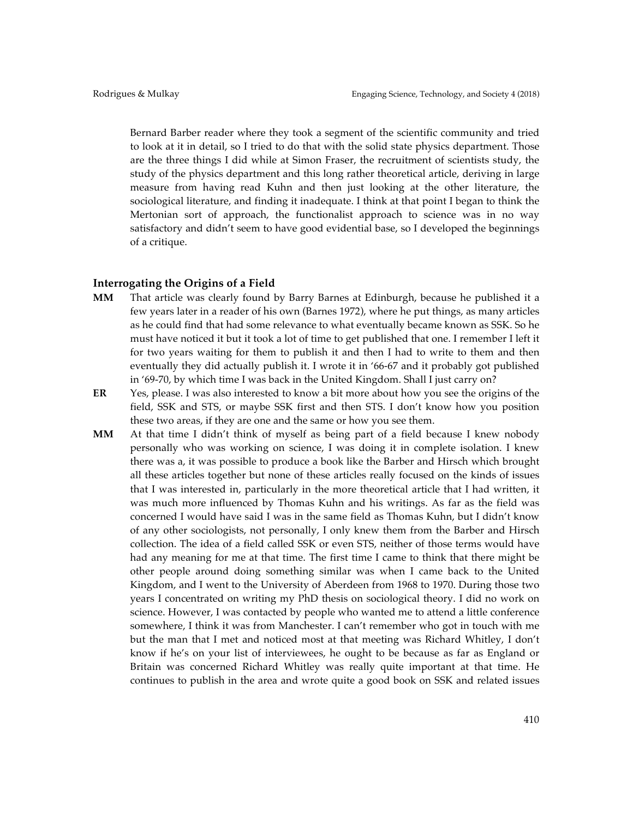Bernard Barber reader where they took a segment of the scientific community and tried to look at it in detail, so I tried to do that with the solid state physics department. Those are the three things I did while at Simon Fraser, the recruitment of scientists study, the study of the physics department and this long rather theoretical article, deriving in large measure from having read Kuhn and then just looking at the other literature, the sociological literature, and finding it inadequate. I think at that point I began to think the Mertonian sort of approach, the functionalist approach to science was in no way satisfactory and didn't seem to have good evidential base, so I developed the beginnings of a critique.

#### **Interrogating the Origins of a Field**

- **MM** That article was clearly found by Barry Barnes at Edinburgh, because he published it a few years later in a reader of his own (Barnes 1972), where he put things, as many articles as he could find that had some relevance to what eventually became known as SSK. So he must have noticed it but it took a lot of time to get published that one. I remember I left it for two years waiting for them to publish it and then I had to write to them and then eventually they did actually publish it. I wrote it in '66-67 and it probably got published in '69-70, by which time I was back in the United Kingdom. Shall I just carry on?
- **ER** Yes, please. I was also interested to know a bit more about how you see the origins of the field, SSK and STS, or maybe SSK first and then STS. I don't know how you position these two areas, if they are one and the same or how you see them.
- **MM** At that time I didn't think of myself as being part of a field because I knew nobody personally who was working on science, I was doing it in complete isolation. I knew there was a, it was possible to produce a book like the Barber and Hirsch which brought all these articles together but none of these articles really focused on the kinds of issues that I was interested in, particularly in the more theoretical article that I had written, it was much more influenced by Thomas Kuhn and his writings. As far as the field was concerned I would have said I was in the same field as Thomas Kuhn, but I didn't know of any other sociologists, not personally, I only knew them from the Barber and Hirsch collection. The idea of a field called SSK or even STS, neither of those terms would have had any meaning for me at that time. The first time I came to think that there might be other people around doing something similar was when I came back to the United Kingdom, and I went to the University of Aberdeen from 1968 to 1970. During those two years I concentrated on writing my PhD thesis on sociological theory. I did no work on science. However, I was contacted by people who wanted me to attend a little conference somewhere, I think it was from Manchester. I can't remember who got in touch with me but the man that I met and noticed most at that meeting was Richard Whitley, I don't know if he's on your list of interviewees, he ought to be because as far as England or Britain was concerned Richard Whitley was really quite important at that time. He continues to publish in the area and wrote quite a good book on SSK and related issues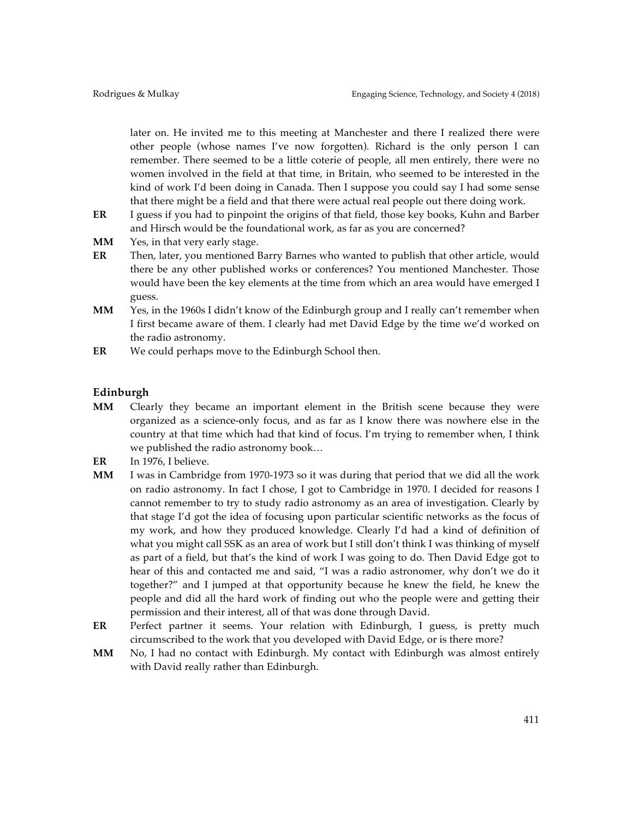later on. He invited me to this meeting at Manchester and there I realized there were other people (whose names I've now forgotten). Richard is the only person I can remember. There seemed to be a little coterie of people, all men entirely, there were no women involved in the field at that time, in Britain, who seemed to be interested in the kind of work I'd been doing in Canada. Then I suppose you could say I had some sense that there might be a field and that there were actual real people out there doing work.

- **ER** I guess if you had to pinpoint the origins of that field, those key books, Kuhn and Barber and Hirsch would be the foundational work, as far as you are concerned?
- **MM** Yes, in that very early stage.
- **ER** Then, later, you mentioned Barry Barnes who wanted to publish that other article, would there be any other published works or conferences? You mentioned Manchester. Those would have been the key elements at the time from which an area would have emerged I guess.
- **MM** Yes, in the 1960s I didn't know of the Edinburgh group and I really can't remember when I first became aware of them. I clearly had met David Edge by the time we'd worked on the radio astronomy.
- **ER** We could perhaps move to the Edinburgh School then.

## **Edinburgh**

- **MM** Clearly they became an important element in the British scene because they were organized as a science-only focus, and as far as I know there was nowhere else in the country at that time which had that kind of focus. I'm trying to remember when, I think we published the radio astronomy book…
- **ER** In 1976, I believe.
- **MM** I was in Cambridge from 1970-1973 so it was during that period that we did all the work on radio astronomy. In fact I chose, I got to Cambridge in 1970. I decided for reasons I cannot remember to try to study radio astronomy as an area of investigation. Clearly by that stage I'd got the idea of focusing upon particular scientific networks as the focus of my work, and how they produced knowledge. Clearly I'd had a kind of definition of what you might call SSK as an area of work but I still don't think I was thinking of myself as part of a field, but that's the kind of work I was going to do. Then David Edge got to hear of this and contacted me and said, "I was a radio astronomer, why don't we do it together?" and I jumped at that opportunity because he knew the field, he knew the people and did all the hard work of finding out who the people were and getting their permission and their interest, all of that was done through David.
- **ER** Perfect partner it seems. Your relation with Edinburgh, I guess, is pretty much circumscribed to the work that you developed with David Edge, or is there more?
- **MM** No, I had no contact with Edinburgh. My contact with Edinburgh was almost entirely with David really rather than Edinburgh.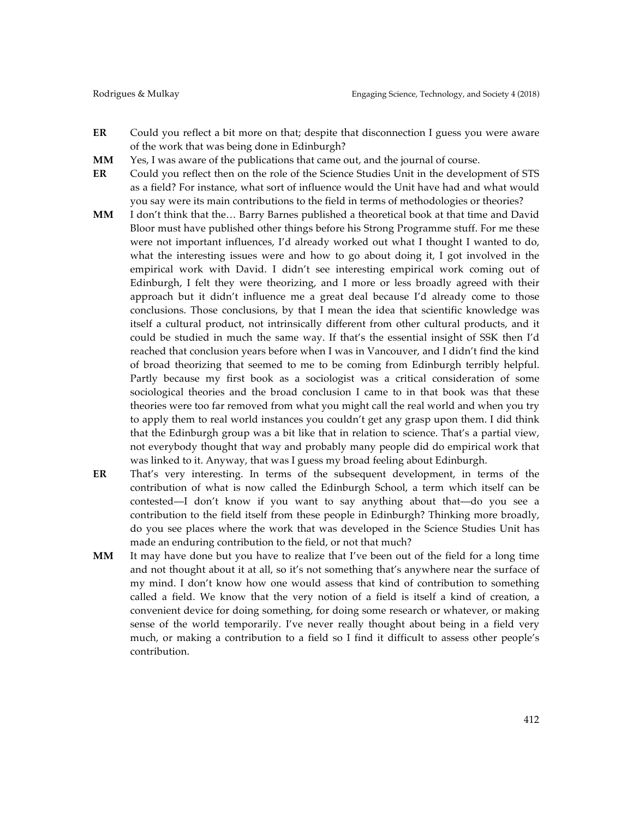- **ER** Could you reflect a bit more on that; despite that disconnection I guess you were aware of the work that was being done in Edinburgh?
- **MM** Yes, I was aware of the publications that came out, and the journal of course.
- **ER** Could you reflect then on the role of the Science Studies Unit in the development of STS as a field? For instance, what sort of influence would the Unit have had and what would you say were its main contributions to the field in terms of methodologies or theories?
- **MM** I don't think that the… Barry Barnes published a theoretical book at that time and David Bloor must have published other things before his Strong Programme stuff. For me these were not important influences, I'd already worked out what I thought I wanted to do, what the interesting issues were and how to go about doing it, I got involved in the empirical work with David. I didn't see interesting empirical work coming out of Edinburgh, I felt they were theorizing, and I more or less broadly agreed with their approach but it didn't influence me a great deal because I'd already come to those conclusions. Those conclusions, by that I mean the idea that scientific knowledge was itself a cultural product, not intrinsically different from other cultural products, and it could be studied in much the same way. If that's the essential insight of SSK then I'd reached that conclusion years before when I was in Vancouver, and I didn't find the kind of broad theorizing that seemed to me to be coming from Edinburgh terribly helpful. Partly because my first book as a sociologist was a critical consideration of some sociological theories and the broad conclusion I came to in that book was that these theories were too far removed from what you might call the real world and when you try to apply them to real world instances you couldn't get any grasp upon them. I did think that the Edinburgh group was a bit like that in relation to science. That's a partial view, not everybody thought that way and probably many people did do empirical work that was linked to it. Anyway, that was I guess my broad feeling about Edinburgh.
- **ER** That's very interesting. In terms of the subsequent development, in terms of the contribution of what is now called the Edinburgh School, a term which itself can be contested––I don't know if you want to say anything about that––do you see a contribution to the field itself from these people in Edinburgh? Thinking more broadly, do you see places where the work that was developed in the Science Studies Unit has made an enduring contribution to the field, or not that much?
- **MM** It may have done but you have to realize that I've been out of the field for a long time and not thought about it at all, so it's not something that's anywhere near the surface of my mind. I don't know how one would assess that kind of contribution to something called a field. We know that the very notion of a field is itself a kind of creation, a convenient device for doing something, for doing some research or whatever, or making sense of the world temporarily. I've never really thought about being in a field very much, or making a contribution to a field so I find it difficult to assess other people's contribution.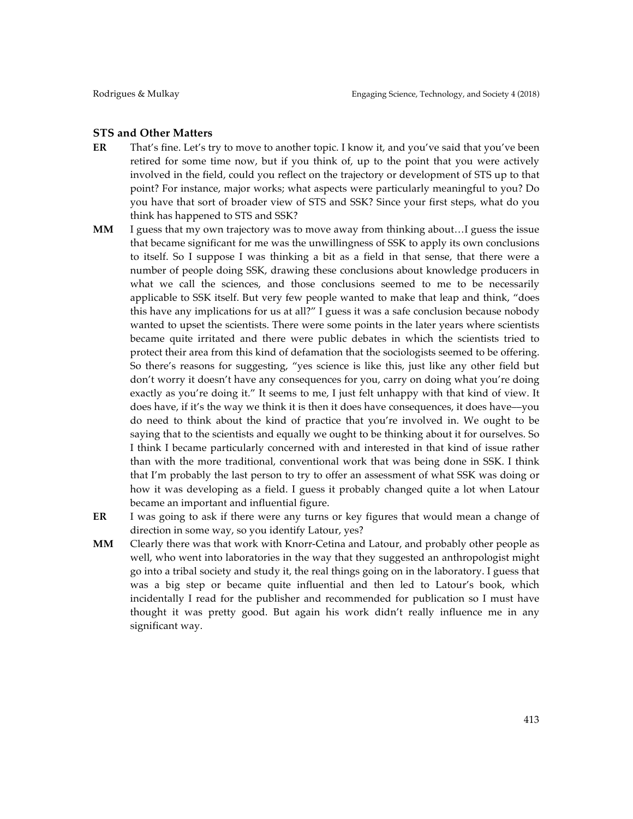#### **STS and Other Matters**

- **ER** That's fine. Let's try to move to another topic. I know it, and you've said that you've been retired for some time now, but if you think of, up to the point that you were actively involved in the field, could you reflect on the trajectory or development of STS up to that point? For instance, major works; what aspects were particularly meaningful to you? Do you have that sort of broader view of STS and SSK? Since your first steps, what do you think has happened to STS and SSK?
- **MM** I guess that my own trajectory was to move away from thinking about…I guess the issue that became significant for me was the unwillingness of SSK to apply its own conclusions to itself. So I suppose I was thinking a bit as a field in that sense, that there were a number of people doing SSK, drawing these conclusions about knowledge producers in what we call the sciences, and those conclusions seemed to me to be necessarily applicable to SSK itself. But very few people wanted to make that leap and think, "does this have any implications for us at all?" I guess it was a safe conclusion because nobody wanted to upset the scientists. There were some points in the later years where scientists became quite irritated and there were public debates in which the scientists tried to protect their area from this kind of defamation that the sociologists seemed to be offering. So there's reasons for suggesting, "yes science is like this, just like any other field but don't worry it doesn't have any consequences for you, carry on doing what you're doing exactly as you're doing it." It seems to me, I just felt unhappy with that kind of view. It does have, if it's the way we think it is then it does have consequences, it does have––you do need to think about the kind of practice that you're involved in. We ought to be saying that to the scientists and equally we ought to be thinking about it for ourselves. So I think I became particularly concerned with and interested in that kind of issue rather than with the more traditional, conventional work that was being done in SSK. I think that I'm probably the last person to try to offer an assessment of what SSK was doing or how it was developing as a field. I guess it probably changed quite a lot when Latour became an important and influential figure.
- **ER** I was going to ask if there were any turns or key figures that would mean a change of direction in some way, so you identify Latour, yes?
- **MM** Clearly there was that work with Knorr-Cetina and Latour, and probably other people as well, who went into laboratories in the way that they suggested an anthropologist might go into a tribal society and study it, the real things going on in the laboratory. I guess that was a big step or became quite influential and then led to Latour's book, which incidentally I read for the publisher and recommended for publication so I must have thought it was pretty good. But again his work didn't really influence me in any significant way.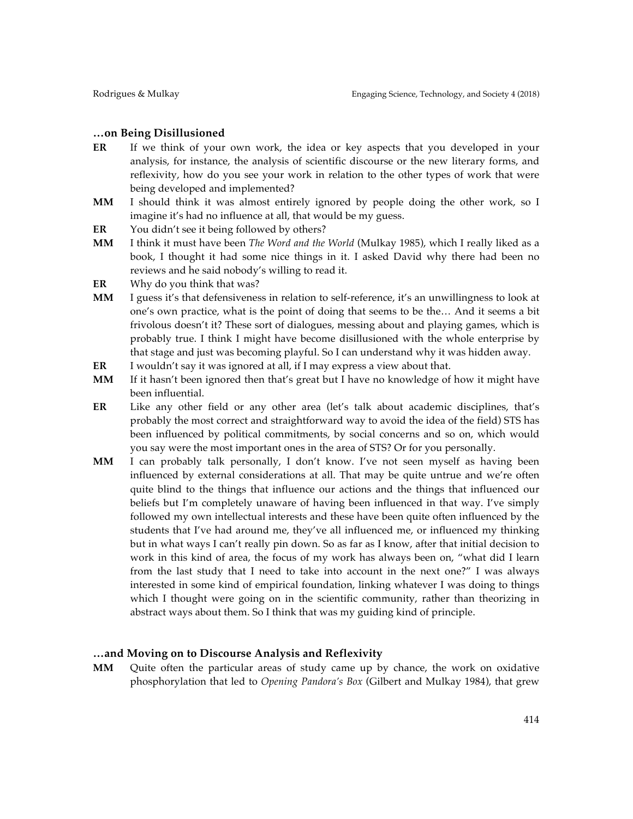### **…on Being Disillusioned**

- **ER** If we think of your own work, the idea or key aspects that you developed in your analysis, for instance, the analysis of scientific discourse or the new literary forms, and reflexivity, how do you see your work in relation to the other types of work that were being developed and implemented?
- **MM** I should think it was almost entirely ignored by people doing the other work, so I imagine it's had no influence at all, that would be my guess.
- **ER** You didn't see it being followed by others?
- **MM** I think it must have been *The Word and the World* (Mulkay 1985), which I really liked as a book, I thought it had some nice things in it. I asked David why there had been no reviews and he said nobody's willing to read it.
- **ER** Why do you think that was?
- **MM** I guess it's that defensiveness in relation to self-reference, it's an unwillingness to look at one's own practice, what is the point of doing that seems to be the… And it seems a bit frivolous doesn't it? These sort of dialogues, messing about and playing games, which is probably true. I think I might have become disillusioned with the whole enterprise by that stage and just was becoming playful. So I can understand why it was hidden away.
- **ER** I wouldn't say it was ignored at all, if I may express a view about that.
- **MM** If it hasn't been ignored then that's great but I have no knowledge of how it might have been influential.
- **ER** Like any other field or any other area (let's talk about academic disciplines, that's probably the most correct and straightforward way to avoid the idea of the field) STS has been influenced by political commitments, by social concerns and so on, which would you say were the most important ones in the area of STS? Or for you personally.
- **MM** I can probably talk personally, I don't know. I've not seen myself as having been influenced by external considerations at all. That may be quite untrue and we're often quite blind to the things that influence our actions and the things that influenced our beliefs but I'm completely unaware of having been influenced in that way. I've simply followed my own intellectual interests and these have been quite often influenced by the students that I've had around me, they've all influenced me, or influenced my thinking but in what ways I can't really pin down. So as far as I know, after that initial decision to work in this kind of area, the focus of my work has always been on, "what did I learn from the last study that I need to take into account in the next one?" I was always interested in some kind of empirical foundation, linking whatever I was doing to things which I thought were going on in the scientific community, rather than theorizing in abstract ways about them. So I think that was my guiding kind of principle.

## **…and Moving on to Discourse Analysis and Reflexivity**

**MM** Quite often the particular areas of study came up by chance, the work on oxidative phosphorylation that led to *Opening Pandora's Box* (Gilbert and Mulkay 1984), that grew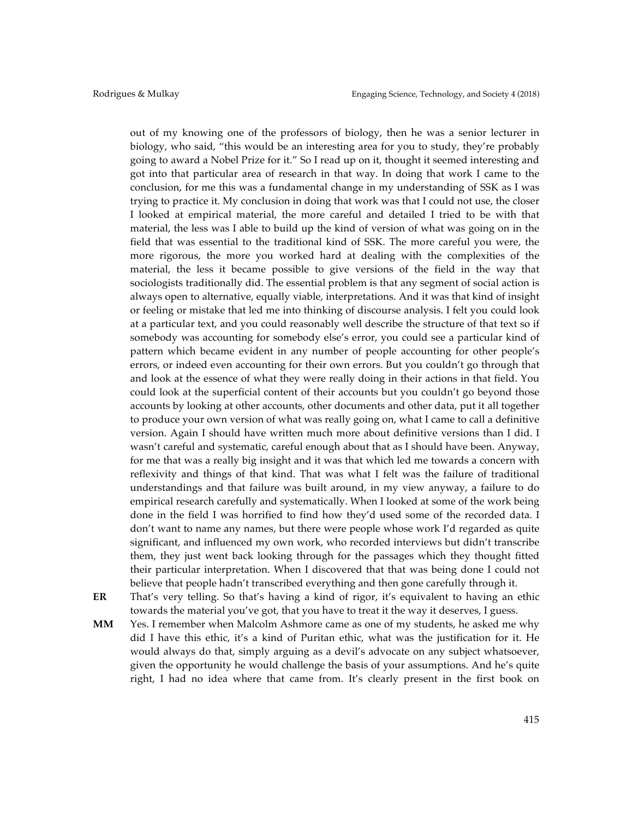out of my knowing one of the professors of biology, then he was a senior lecturer in biology, who said, "this would be an interesting area for you to study, they're probably going to award a Nobel Prize for it." So I read up on it, thought it seemed interesting and got into that particular area of research in that way. In doing that work I came to the conclusion, for me this was a fundamental change in my understanding of SSK as I was trying to practice it. My conclusion in doing that work was that I could not use, the closer I looked at empirical material, the more careful and detailed I tried to be with that material, the less was I able to build up the kind of version of what was going on in the field that was essential to the traditional kind of SSK. The more careful you were, the more rigorous, the more you worked hard at dealing with the complexities of the material, the less it became possible to give versions of the field in the way that sociologists traditionally did. The essential problem is that any segment of social action is always open to alternative, equally viable, interpretations. And it was that kind of insight or feeling or mistake that led me into thinking of discourse analysis. I felt you could look at a particular text, and you could reasonably well describe the structure of that text so if somebody was accounting for somebody else's error, you could see a particular kind of pattern which became evident in any number of people accounting for other people's errors, or indeed even accounting for their own errors. But you couldn't go through that and look at the essence of what they were really doing in their actions in that field. You could look at the superficial content of their accounts but you couldn't go beyond those accounts by looking at other accounts, other documents and other data, put it all together to produce your own version of what was really going on, what I came to call a definitive version. Again I should have written much more about definitive versions than I did. I wasn't careful and systematic, careful enough about that as I should have been. Anyway, for me that was a really big insight and it was that which led me towards a concern with reflexivity and things of that kind. That was what I felt was the failure of traditional understandings and that failure was built around, in my view anyway, a failure to do empirical research carefully and systematically. When I looked at some of the work being done in the field I was horrified to find how they'd used some of the recorded data. I don't want to name any names, but there were people whose work I'd regarded as quite significant, and influenced my own work, who recorded interviews but didn't transcribe them, they just went back looking through for the passages which they thought fitted their particular interpretation. When I discovered that that was being done I could not believe that people hadn't transcribed everything and then gone carefully through it.

**ER** That's very telling. So that's having a kind of rigor, it's equivalent to having an ethic towards the material you've got, that you have to treat it the way it deserves, I guess.

**MM** Yes. I remember when Malcolm Ashmore came as one of my students, he asked me why did I have this ethic, it's a kind of Puritan ethic, what was the justification for it. He would always do that, simply arguing as a devil's advocate on any subject whatsoever, given the opportunity he would challenge the basis of your assumptions. And he's quite right, I had no idea where that came from. It's clearly present in the first book on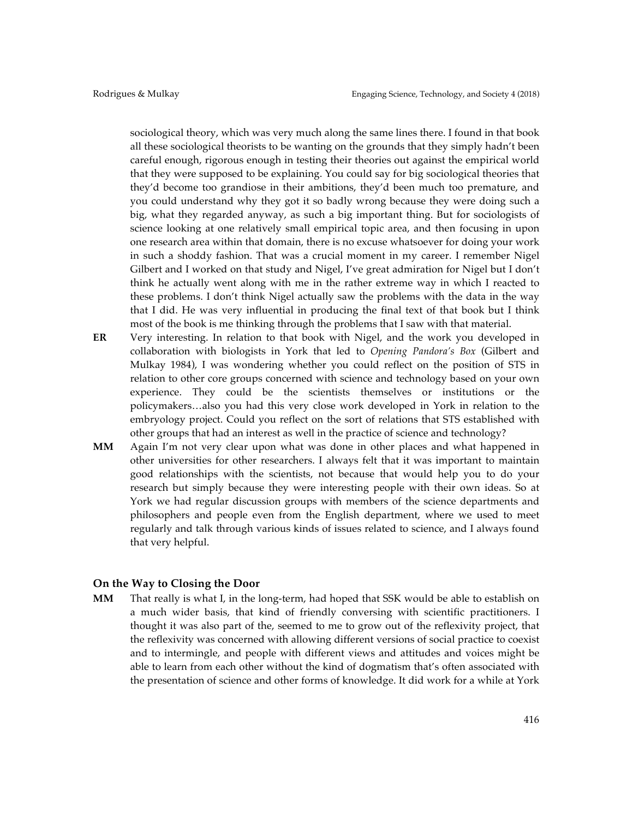sociological theory, which was very much along the same lines there. I found in that book all these sociological theorists to be wanting on the grounds that they simply hadn't been careful enough, rigorous enough in testing their theories out against the empirical world that they were supposed to be explaining. You could say for big sociological theories that they'd become too grandiose in their ambitions, they'd been much too premature, and you could understand why they got it so badly wrong because they were doing such a big, what they regarded anyway, as such a big important thing. But for sociologists of science looking at one relatively small empirical topic area, and then focusing in upon one research area within that domain, there is no excuse whatsoever for doing your work in such a shoddy fashion. That was a crucial moment in my career. I remember Nigel Gilbert and I worked on that study and Nigel, I've great admiration for Nigel but I don't think he actually went along with me in the rather extreme way in which I reacted to these problems. I don't think Nigel actually saw the problems with the data in the way that I did. He was very influential in producing the final text of that book but I think most of the book is me thinking through the problems that I saw with that material.

- **ER** Very interesting. In relation to that book with Nigel, and the work you developed in collaboration with biologists in York that led to *Opening Pandora's Box* (Gilbert and Mulkay 1984), I was wondering whether you could reflect on the position of STS in relation to other core groups concerned with science and technology based on your own experience. They could be the scientists themselves or institutions or the policymakers…also you had this very close work developed in York in relation to the embryology project. Could you reflect on the sort of relations that STS established with other groups that had an interest as well in the practice of science and technology?
- **MM** Again I'm not very clear upon what was done in other places and what happened in other universities for other researchers. I always felt that it was important to maintain good relationships with the scientists, not because that would help you to do your research but simply because they were interesting people with their own ideas. So at York we had regular discussion groups with members of the science departments and philosophers and people even from the English department, where we used to meet regularly and talk through various kinds of issues related to science, and I always found that very helpful.

#### **On the Way to Closing the Door**

**MM** That really is what I, in the long-term, had hoped that SSK would be able to establish on a much wider basis, that kind of friendly conversing with scientific practitioners. I thought it was also part of the, seemed to me to grow out of the reflexivity project, that the reflexivity was concerned with allowing different versions of social practice to coexist and to intermingle, and people with different views and attitudes and voices might be able to learn from each other without the kind of dogmatism that's often associated with the presentation of science and other forms of knowledge. It did work for a while at York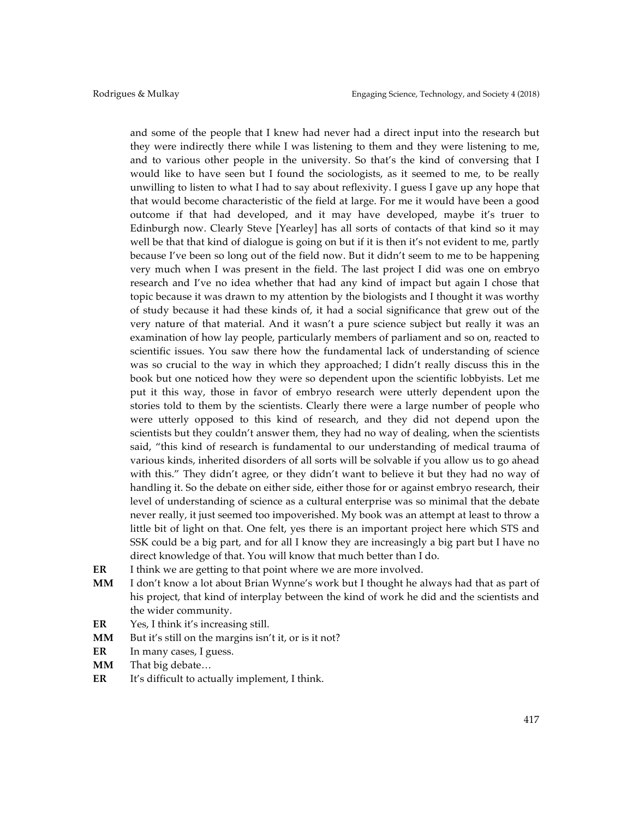and some of the people that I knew had never had a direct input into the research but they were indirectly there while I was listening to them and they were listening to me, and to various other people in the university. So that's the kind of conversing that I would like to have seen but I found the sociologists, as it seemed to me, to be really unwilling to listen to what I had to say about reflexivity. I guess I gave up any hope that that would become characteristic of the field at large. For me it would have been a good outcome if that had developed, and it may have developed, maybe it's truer to Edinburgh now. Clearly Steve [Yearley] has all sorts of contacts of that kind so it may well be that that kind of dialogue is going on but if it is then it's not evident to me, partly because I've been so long out of the field now. But it didn't seem to me to be happening very much when I was present in the field. The last project I did was one on embryo research and I've no idea whether that had any kind of impact but again I chose that topic because it was drawn to my attention by the biologists and I thought it was worthy of study because it had these kinds of, it had a social significance that grew out of the very nature of that material. And it wasn't a pure science subject but really it was an examination of how lay people, particularly members of parliament and so on, reacted to scientific issues. You saw there how the fundamental lack of understanding of science was so crucial to the way in which they approached; I didn't really discuss this in the book but one noticed how they were so dependent upon the scientific lobbyists. Let me put it this way, those in favor of embryo research were utterly dependent upon the stories told to them by the scientists. Clearly there were a large number of people who were utterly opposed to this kind of research, and they did not depend upon the scientists but they couldn't answer them, they had no way of dealing, when the scientists said, "this kind of research is fundamental to our understanding of medical trauma of various kinds, inherited disorders of all sorts will be solvable if you allow us to go ahead with this." They didn't agree, or they didn't want to believe it but they had no way of handling it. So the debate on either side, either those for or against embryo research, their level of understanding of science as a cultural enterprise was so minimal that the debate never really, it just seemed too impoverished. My book was an attempt at least to throw a little bit of light on that. One felt, yes there is an important project here which STS and SSK could be a big part, and for all I know they are increasingly a big part but I have no direct knowledge of that. You will know that much better than I do.

- **ER** I think we are getting to that point where we are more involved.
- **MM** I don't know a lot about Brian Wynne's work but I thought he always had that as part of his project, that kind of interplay between the kind of work he did and the scientists and the wider community.
- **ER** Yes, I think it's increasing still.
- MM But it's still on the margins isn't it, or is it not?
- **ER** In many cases, I guess.
- **MM** That big debate…
- **ER** It's difficult to actually implement, I think.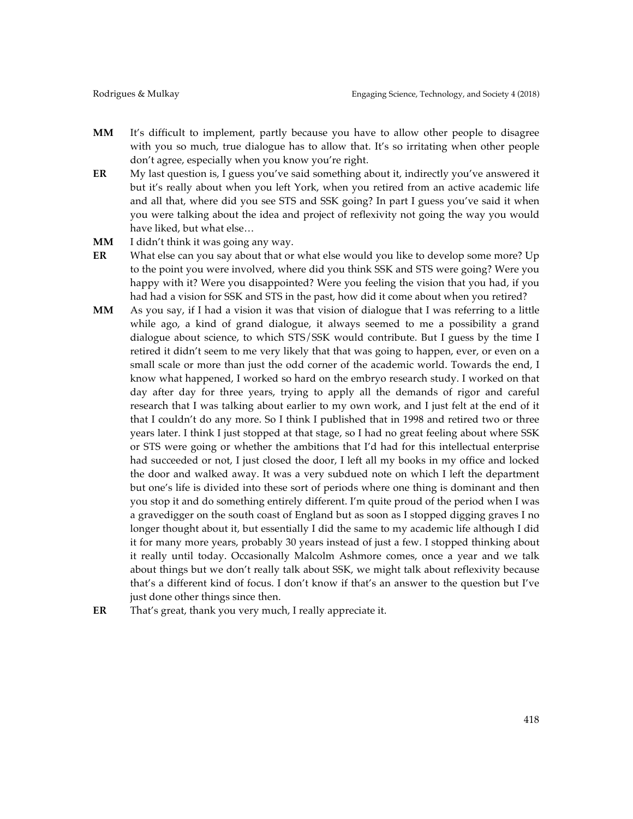- **MM** It's difficult to implement, partly because you have to allow other people to disagree with you so much, true dialogue has to allow that. It's so irritating when other people don't agree, especially when you know you're right.
- **ER** My last question is, I guess you've said something about it, indirectly you've answered it but it's really about when you left York, when you retired from an active academic life and all that, where did you see STS and SSK going? In part I guess you've said it when you were talking about the idea and project of reflexivity not going the way you would have liked, but what else…
- **MM** I didn't think it was going any way.
- **ER** What else can you say about that or what else would you like to develop some more? Up to the point you were involved, where did you think SSK and STS were going? Were you happy with it? Were you disappointed? Were you feeling the vision that you had, if you had had a vision for SSK and STS in the past, how did it come about when you retired?
- **MM** As you say, if I had a vision it was that vision of dialogue that I was referring to a little while ago, a kind of grand dialogue, it always seemed to me a possibility a grand dialogue about science, to which STS/SSK would contribute. But I guess by the time I retired it didn't seem to me very likely that that was going to happen, ever, or even on a small scale or more than just the odd corner of the academic world. Towards the end, I know what happened, I worked so hard on the embryo research study. I worked on that day after day for three years, trying to apply all the demands of rigor and careful research that I was talking about earlier to my own work, and I just felt at the end of it that I couldn't do any more. So I think I published that in 1998 and retired two or three years later. I think I just stopped at that stage, so I had no great feeling about where SSK or STS were going or whether the ambitions that I'd had for this intellectual enterprise had succeeded or not, I just closed the door, I left all my books in my office and locked the door and walked away. It was a very subdued note on which I left the department but one's life is divided into these sort of periods where one thing is dominant and then you stop it and do something entirely different. I'm quite proud of the period when I was a gravedigger on the south coast of England but as soon as I stopped digging graves I no longer thought about it, but essentially I did the same to my academic life although I did it for many more years, probably 30 years instead of just a few. I stopped thinking about it really until today. Occasionally Malcolm Ashmore comes, once a year and we talk about things but we don't really talk about SSK, we might talk about reflexivity because that's a different kind of focus. I don't know if that's an answer to the question but I've just done other things since then.
- **ER** That's great, thank you very much, I really appreciate it.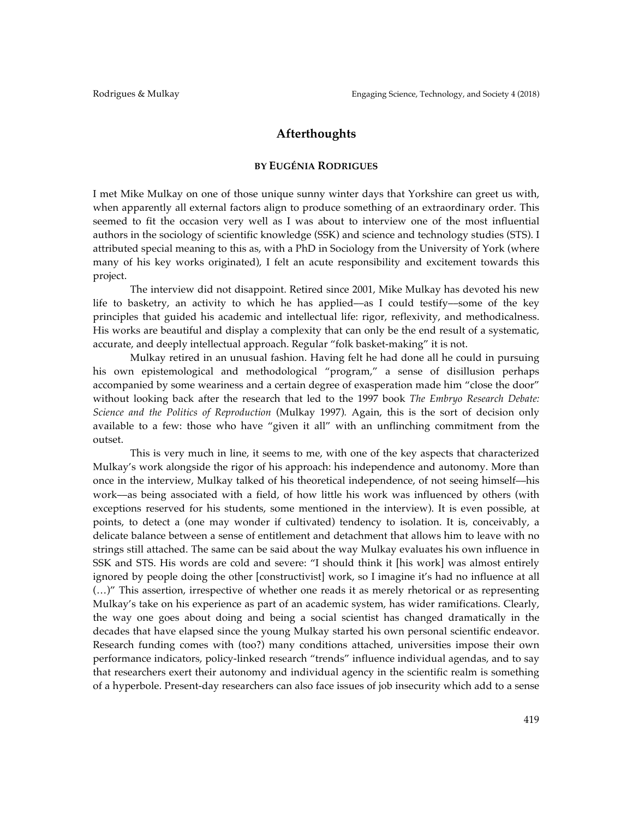## **Afterthoughts**

#### **BY EUGÉNIA RODRIGUES**

I met Mike Mulkay on one of those unique sunny winter days that Yorkshire can greet us with, when apparently all external factors align to produce something of an extraordinary order. This seemed to fit the occasion very well as I was about to interview one of the most influential authors in the sociology of scientific knowledge (SSK) and science and technology studies (STS). I attributed special meaning to this as, with a PhD in Sociology from the University of York (where many of his key works originated), I felt an acute responsibility and excitement towards this project.

The interview did not disappoint. Retired since 2001, Mike Mulkay has devoted his new life to basketry, an activity to which he has applied—as I could testify—some of the key principles that guided his academic and intellectual life: rigor, reflexivity, and methodicalness. His works are beautiful and display a complexity that can only be the end result of a systematic, accurate, and deeply intellectual approach. Regular "folk basket-making" it is not.

Mulkay retired in an unusual fashion. Having felt he had done all he could in pursuing his own epistemological and methodological "program," a sense of disillusion perhaps accompanied by some weariness and a certain degree of exasperation made him "close the door" without looking back after the research that led to the 1997 book *The Embryo Research Debate: Science and the Politics of Reproduction* (Mulkay 1997)*.* Again, this is the sort of decision only available to a few: those who have "given it all" with an unflinching commitment from the outset.

This is very much in line, it seems to me, with one of the key aspects that characterized Mulkay's work alongside the rigor of his approach: his independence and autonomy. More than once in the interview, Mulkay talked of his theoretical independence, of not seeing himself––his work––as being associated with a field, of how little his work was influenced by others (with exceptions reserved for his students, some mentioned in the interview). It is even possible, at points, to detect a (one may wonder if cultivated) tendency to isolation. It is, conceivably, a delicate balance between a sense of entitlement and detachment that allows him to leave with no strings still attached. The same can be said about the way Mulkay evaluates his own influence in SSK and STS. His words are cold and severe: "I should think it [his work] was almost entirely ignored by people doing the other [constructivist] work, so I imagine it's had no influence at all (…)" This assertion, irrespective of whether one reads it as merely rhetorical or as representing Mulkay's take on his experience as part of an academic system, has wider ramifications. Clearly, the way one goes about doing and being a social scientist has changed dramatically in the decades that have elapsed since the young Mulkay started his own personal scientific endeavor. Research funding comes with (too?) many conditions attached, universities impose their own performance indicators, policy-linked research "trends" influence individual agendas, and to say that researchers exert their autonomy and individual agency in the scientific realm is something of a hyperbole. Present-day researchers can also face issues of job insecurity which add to a sense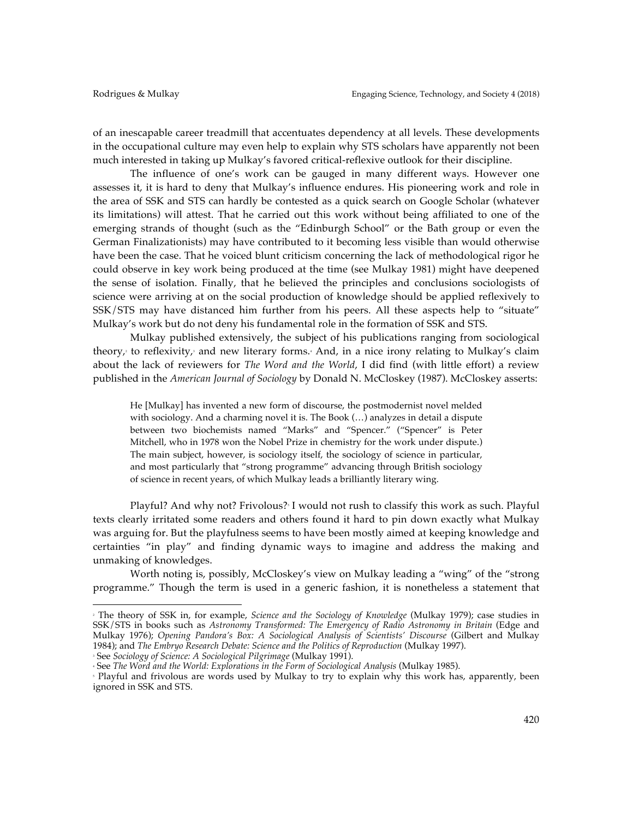of an inescapable career treadmill that accentuates dependency at all levels. These developments in the occupational culture may even help to explain why STS scholars have apparently not been much interested in taking up Mulkay's favored critical-reflexive outlook for their discipline.

The influence of one's work can be gauged in many different ways. However one assesses it, it is hard to deny that Mulkay's influence endures. His pioneering work and role in the area of SSK and STS can hardly be contested as a quick search on Google Scholar (whatever its limitations) will attest. That he carried out this work without being affiliated to one of the emerging strands of thought (such as the "Edinburgh School" or the Bath group or even the German Finalizationists) may have contributed to it becoming less visible than would otherwise have been the case. That he voiced blunt criticism concerning the lack of methodological rigor he could observe in key work being produced at the time (see Mulkay 1981) might have deepened the sense of isolation. Finally, that he believed the principles and conclusions sociologists of science were arriving at on the social production of knowledge should be applied reflexively to SSK/STS may have distanced him further from his peers. All these aspects help to "situate" Mulkay's work but do not deny his fundamental role in the formation of SSK and STS.

Mulkay published extensively, the subject of his publications ranging from sociological theory,<sup>2</sup> to reflexivity,<sup>3</sup> and new literary forms.<sup>4</sup> And, in a nice irony relating to Mulkay's claim about the lack of reviewers for *The Word and the World*, I did find (with little effort) a review published in the *American Journal of Sociology* by Donald N. McCloskey (1987). McCloskey asserts:

He [Mulkay] has invented a new form of discourse, the postmodernist novel melded with sociology. And a charming novel it is. The Book (…) analyzes in detail a dispute between two biochemists named "Marks" and "Spencer." ("Spencer" is Peter Mitchell, who in 1978 won the Nobel Prize in chemistry for the work under dispute.) The main subject, however, is sociology itself, the sociology of science in particular, and most particularly that "strong programme" advancing through British sociology of science in recent years, of which Mulkay leads a brilliantly literary wing.

Playful? And why not? Frivolous?<sup>5</sup> I would not rush to classify this work as such. Playful texts clearly irritated some readers and others found it hard to pin down exactly what Mulkay was arguing for. But the playfulness seems to have been mostly aimed at keeping knowledge and certainties "in play" and finding dynamic ways to imagine and address the making and unmaking of knowledges.

Worth noting is, possibly, McCloskey's view on Mulkay leading a "wing" of the "strong programme." Though the term is used in a generic fashion, it is nonetheless a statement that

<sup>4</sup> See *The Word and the World: Explorations in the Form of Sociological Analysis* (Mulkay 1985).

 

<sup>2</sup> The theory of SSK in, for example, *Science and the Sociology of Knowledge* (Mulkay 1979); case studies in SSK/STS in books such as *Astronomy Transformed: The Emergency of Radio Astronomy in Britain* (Edge and Mulkay 1976); *Opening Pandora's Box: A Sociological Analysis of Scientists' Discourse* (Gilbert and Mulkay 1984); and *The Embryo Research Debate: Science and the Politics of Reproduction* (Mulkay 1997). <sup>3</sup> See *Sociology of Science: A Sociological Pilgrimage* (Mulkay 1991).

<sup>5</sup> Playful and frivolous are words used by Mulkay to try to explain why this work has, apparently, been ignored in SSK and STS.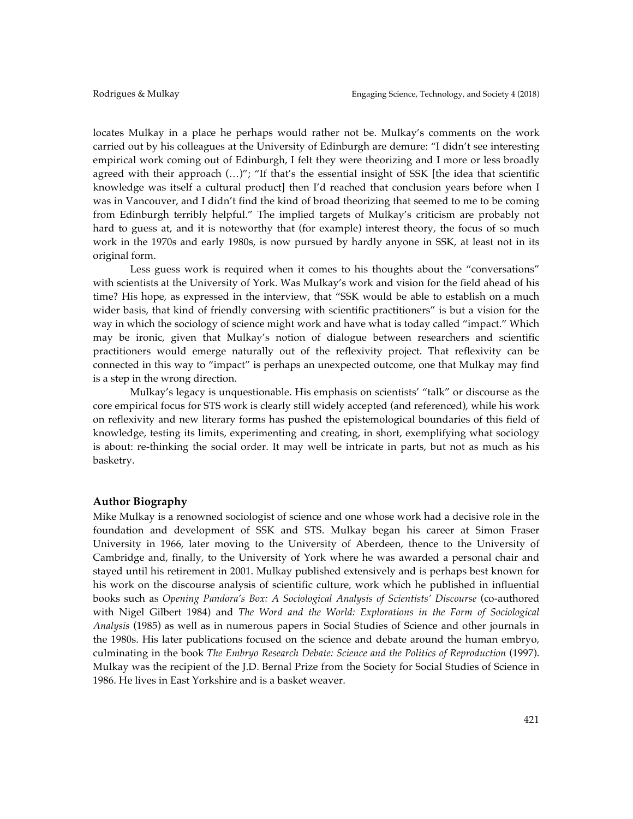locates Mulkay in a place he perhaps would rather not be. Mulkay's comments on the work carried out by his colleagues at the University of Edinburgh are demure: "I didn't see interesting empirical work coming out of Edinburgh, I felt they were theorizing and I more or less broadly agreed with their approach  $(...)$ "; "If that's the essential insight of SSK [the idea that scientific knowledge was itself a cultural product] then I'd reached that conclusion years before when I was in Vancouver, and I didn't find the kind of broad theorizing that seemed to me to be coming from Edinburgh terribly helpful." The implied targets of Mulkay's criticism are probably not hard to guess at, and it is noteworthy that (for example) interest theory, the focus of so much work in the 1970s and early 1980s, is now pursued by hardly anyone in SSK, at least not in its original form.

Less guess work is required when it comes to his thoughts about the "conversations" with scientists at the University of York. Was Mulkay's work and vision for the field ahead of his time? His hope, as expressed in the interview, that "SSK would be able to establish on a much wider basis, that kind of friendly conversing with scientific practitioners" is but a vision for the way in which the sociology of science might work and have what is today called "impact." Which may be ironic, given that Mulkay's notion of dialogue between researchers and scientific practitioners would emerge naturally out of the reflexivity project. That reflexivity can be connected in this way to "impact" is perhaps an unexpected outcome, one that Mulkay may find is a step in the wrong direction.

Mulkay's legacy is unquestionable. His emphasis on scientists' "talk" or discourse as the core empirical focus for STS work is clearly still widely accepted (and referenced), while his work on reflexivity and new literary forms has pushed the epistemological boundaries of this field of knowledge, testing its limits, experimenting and creating, in short, exemplifying what sociology is about: re-thinking the social order. It may well be intricate in parts, but not as much as his basketry.

#### **Author Biography**

Mike Mulkay is a renowned sociologist of science and one whose work had a decisive role in the foundation and development of SSK and STS. Mulkay began his career at Simon Fraser University in 1966, later moving to the University of Aberdeen, thence to the University of Cambridge and, finally, to the University of York where he was awarded a personal chair and stayed until his retirement in 2001. Mulkay published extensively and is perhaps best known for his work on the discourse analysis of scientific culture, work which he published in influential books such as *Opening Pandora's Box: A Sociological Analysis of Scientists' Discourse* (co-authored with Nigel Gilbert 1984) and *The Word and the World: Explorations in the Form of Sociological Analysis* (1985) as well as in numerous papers in Social Studies of Science and other journals in the 1980s. His later publications focused on the science and debate around the human embryo, culminating in the book *The Embryo Research Debate: Science and the Politics of Reproduction* (1997). Mulkay was the recipient of the J.D. Bernal Prize from the Society for Social Studies of Science in 1986. He lives in East Yorkshire and is a basket weaver.